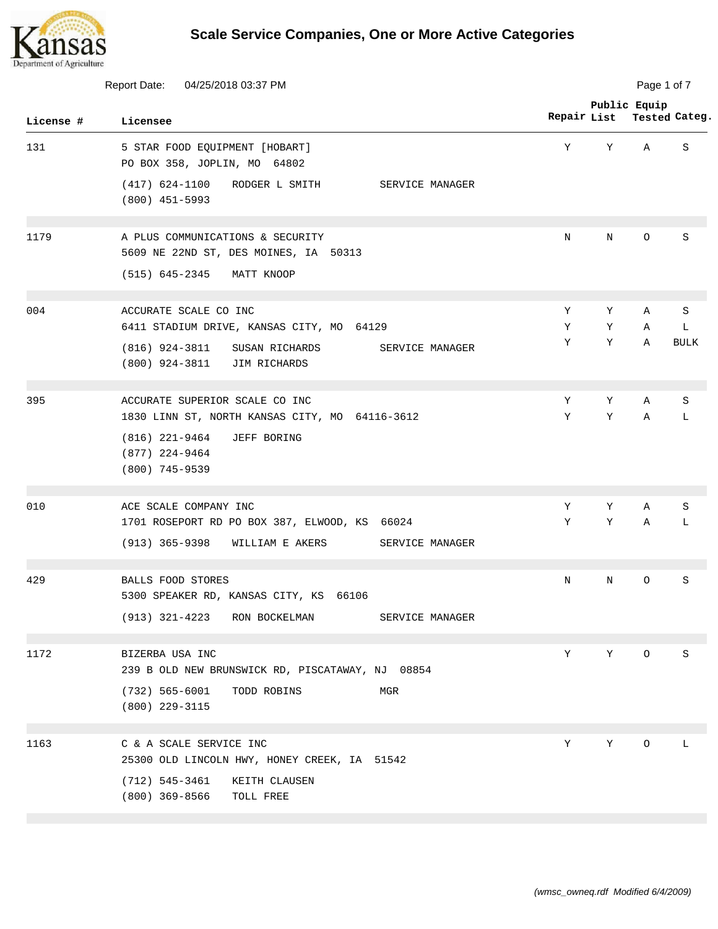

|           | Report Date:<br>04/25/2018 03:37 PM                                                                                   | Page 1 of 7 |        |              |               |  |
|-----------|-----------------------------------------------------------------------------------------------------------------------|-------------|--------|--------------|---------------|--|
| License # | Licensee                                                                                                              | Repair List |        | Public Equip | Tested Categ. |  |
| 131       | 5 STAR FOOD EQUIPMENT [HOBART]<br>PO BOX 358, JOPLIN, MO 64802                                                        | Υ           | Υ      | Α            | S             |  |
|           | $(417)$ 624-1100<br>RODGER L SMITH<br>SERVICE MANAGER<br>$(800)$ 451-5993                                             |             |        |              |               |  |
| 1179      | A PLUS COMMUNICATIONS & SECURITY<br>5609 NE 22ND ST, DES MOINES, IA 50313                                             | Ν           | N      | 0            | S             |  |
|           | (515) 645-2345<br>MATT KNOOP                                                                                          |             |        |              |               |  |
| 004       | ACCURATE SCALE CO INC<br>6411 STADIUM DRIVE, KANSAS CITY, MO 64129                                                    | Υ<br>Υ      | Υ<br>Y | Α<br>Α       | S<br>L        |  |
|           | $(816)$ 924-3811<br>SUSAN RICHARDS<br>SERVICE MANAGER<br>$(800)$ 924-3811<br>JIM RICHARDS                             | Υ           | Υ      | Α            | <b>BULK</b>   |  |
| 395       | ACCURATE SUPERIOR SCALE CO INC<br>1830 LINN ST, NORTH KANSAS CITY, MO 64116-3612                                      | Υ<br>Υ      | Υ<br>Υ | Α<br>Α       | S<br>L        |  |
|           | $(816)$ 221-9464<br>JEFF BORING<br>$(877)$ 224-9464<br>$(800)$ 745-9539                                               |             |        |              |               |  |
| 010       | ACE SCALE COMPANY INC                                                                                                 | Υ           | Υ      | Α            | S             |  |
|           | 1701 ROSEPORT RD PO BOX 387, ELWOOD, KS<br>66024<br>$(913) 365 - 9398$<br>WILLIAM E AKERS<br>SERVICE MANAGER          | Υ           | Υ      | Α            | L             |  |
| 429       | <b>BALLS FOOD STORES</b><br>5300 SPEAKER RD, KANSAS CITY, KS 66106<br>(913) 321-4223 RON BOCKELMAN<br>SERVICE MANAGER | N           | N      | $\circ$      | S             |  |
| 1172      | BIZERBA USA INC<br>239 B OLD NEW BRUNSWICK RD, PISCATAWAY, NJ 08854                                                   | Y           | Y      | $\circ$      | S             |  |
|           | $(732)$ 565-6001<br>TODD ROBINS<br>MGR<br>$(800)$ 229-3115                                                            |             |        |              |               |  |
| 1163      | C & A SCALE SERVICE INC<br>25300 OLD LINCOLN HWY, HONEY CREEK, IA 51542                                               | Y           | Υ      | O            | L             |  |
|           | (712) 545-3461<br>KEITH CLAUSEN<br>(800) 369-8566<br>TOLL FREE                                                        |             |        |              |               |  |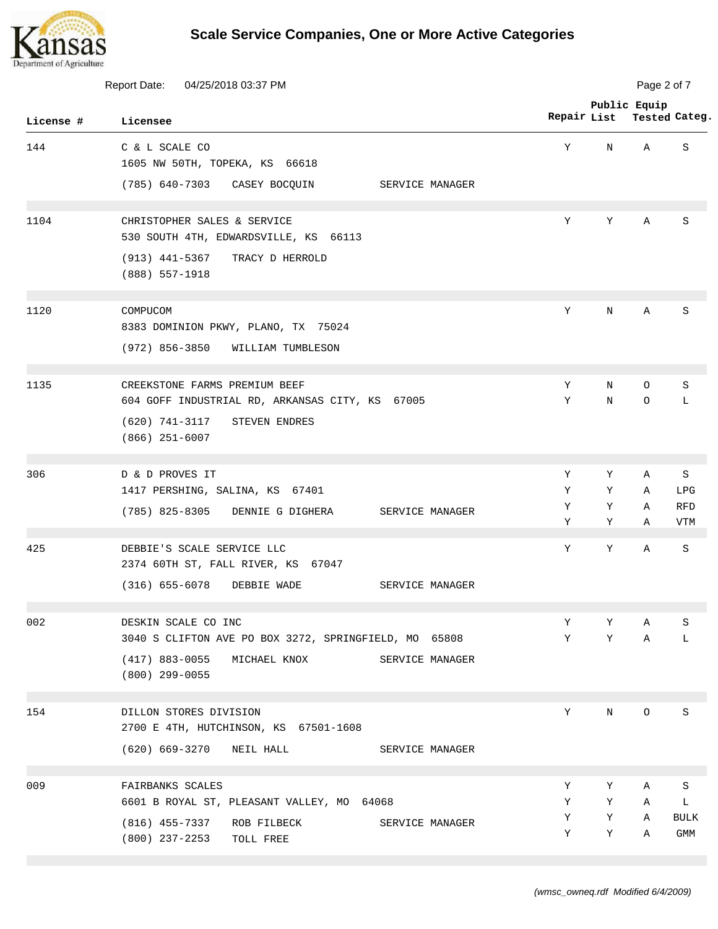

| <b>Report Date:</b><br>04/25/2018 03:37 PM |                                                                                                             |             | Page 2 of 7 |              |                          |  |  |
|--------------------------------------------|-------------------------------------------------------------------------------------------------------------|-------------|-------------|--------------|--------------------------|--|--|
| License #                                  | Licensee                                                                                                    | Repair List |             | Public Equip | Tested Categ.            |  |  |
| 144                                        | C & L SCALE CO<br>1605 NW 50TH, TOPEKA, KS 66618                                                            | Υ           | N           | Α            | S                        |  |  |
|                                            | (785) 640-7303<br>CASEY BOCQUIN<br>SERVICE MANAGER                                                          |             |             |              |                          |  |  |
| 1104                                       | CHRISTOPHER SALES & SERVICE<br>530 SOUTH 4TH, EDWARDSVILLE, KS 66113<br>$(913)$ 441-5367<br>TRACY D HERROLD | Υ           | Υ           | Α            | S                        |  |  |
|                                            | $(888)$ 557-1918                                                                                            |             |             |              |                          |  |  |
| 1120                                       | COMPUCOM<br>8383 DOMINION PKWY, PLANO, TX 75024                                                             | Y           | N           | Α            | S                        |  |  |
|                                            | $(972)$ 856-3850<br>WILLIAM TUMBLESON                                                                       |             |             |              |                          |  |  |
| 1135                                       | CREEKSTONE FARMS PREMIUM BEEF<br>604 GOFF INDUSTRIAL RD, ARKANSAS CITY, KS 67005                            | Υ<br>Υ      | N<br>N      | 0<br>O       | S<br>L                   |  |  |
|                                            | (620) 741-3117<br>STEVEN ENDRES<br>$(866)$ 251-6007                                                         |             |             |              |                          |  |  |
| 306                                        | D & D PROVES IT                                                                                             | Υ           | Υ           | Α            | S                        |  |  |
|                                            | 1417 PERSHING, SALINA, KS 67401                                                                             | Υ           | Υ           | Α            | LPG                      |  |  |
|                                            | $(785)$ 825-8305<br>DENNIE G DIGHERA<br>SERVICE MANAGER                                                     | Υ<br>Υ      | Υ<br>Υ      | Α<br>Α       | <b>RFD</b><br><b>VTM</b> |  |  |
| 425                                        | DEBBIE'S SCALE SERVICE LLC<br>2374 60TH ST, FALL RIVER, KS 67047                                            | Υ           | Υ           | Α            | S                        |  |  |
|                                            | $(316)$ 655-6078<br>DEBBIE WADE<br>SERVICE MANAGER                                                          |             |             |              |                          |  |  |
| 002                                        | DESKIN SCALE CO INC                                                                                         | Υ           | Υ           | Α            | S                        |  |  |
|                                            | 3040 S CLIFTON AVE PO BOX 3272, SPRINGFIELD, MO 65808                                                       | Υ           | Υ           | Α            | L                        |  |  |
|                                            | $(417)$ 883-0055<br>MICHAEL KNOX<br>SERVICE MANAGER<br>$(800)$ 299-0055                                     |             |             |              |                          |  |  |
| 154                                        | DILLON STORES DIVISION<br>2700 E 4TH, HUTCHINSON, KS 67501-1608                                             | Υ           | N           | O            | S                        |  |  |
|                                            | (620) 669-3270<br>NEIL HALL<br>SERVICE MANAGER                                                              |             |             |              |                          |  |  |
| 009                                        | FAIRBANKS SCALES                                                                                            | Υ           | Υ           | Α            | S                        |  |  |
|                                            | 6601 B ROYAL ST, PLEASANT VALLEY, MO<br>64068                                                               | Υ           | Y           | Α            | L                        |  |  |
|                                            | (816) 455-7337<br>ROB FILBECK<br>SERVICE MANAGER<br>(800) 237-2253<br>TOLL FREE                             | Υ<br>Υ      | Υ<br>Υ      | Α<br>Α       | <b>BULK</b><br>GMM       |  |  |
|                                            |                                                                                                             |             |             |              |                          |  |  |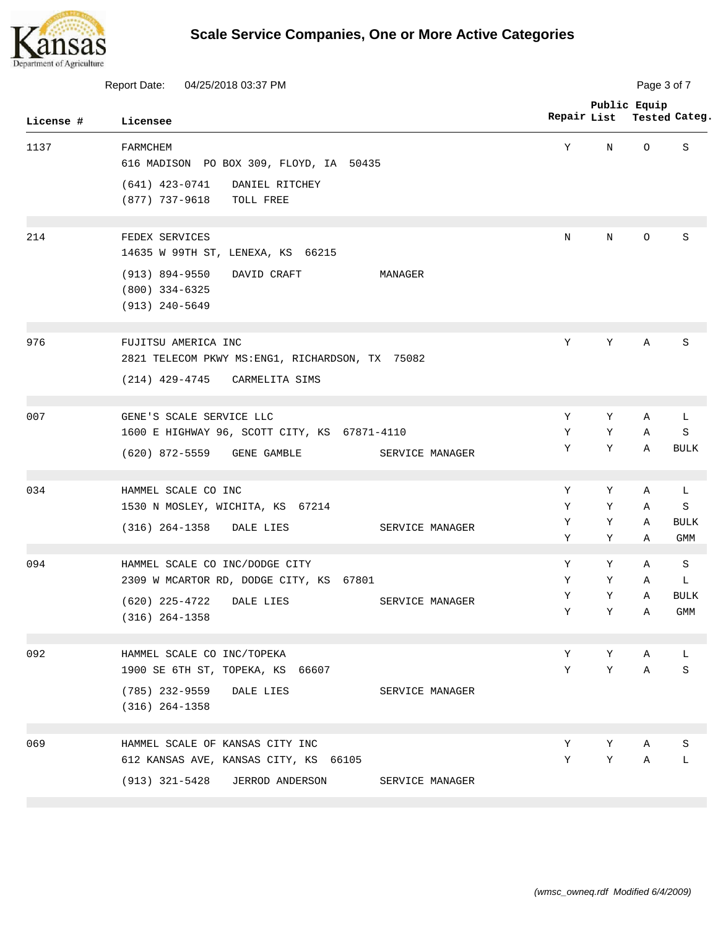

| Report Date:<br>04/25/2018 03:37 PM |                                                                                      |                 | Page 3 of 7 |        |                               |                           |  |
|-------------------------------------|--------------------------------------------------------------------------------------|-----------------|-------------|--------|-------------------------------|---------------------------|--|
| License #                           | Licensee                                                                             |                 | Repair List |        | Public Equip<br>Tested Categ. |                           |  |
| 1137                                | FARMCHEM<br>616 MADISON PO BOX 309, FLOYD, IA 50435                                  |                 | Υ           | N      | O                             | S                         |  |
|                                     | $(641)$ 423-0741<br>DANIEL RITCHEY<br>(877) 737-9618<br>TOLL FREE                    |                 |             |        |                               |                           |  |
| 214                                 | FEDEX SERVICES<br>14635 W 99TH ST, LENEXA, KS 66215                                  |                 | N           | N      | O                             | S                         |  |
|                                     | $(913) 894 - 9550$<br>DAVID CRAFT<br>MANAGER<br>$(800)$ 334-6325<br>$(913)$ 240-5649 |                 |             |        |                               |                           |  |
| 976                                 | FUJITSU AMERICA INC<br>2821 TELECOM PKWY MS: ENG1, RICHARDSON, TX 75082              |                 | Y           | Y      | Α                             | S                         |  |
|                                     | (214) 429-4745<br>CARMELITA SIMS                                                     |                 |             |        |                               |                           |  |
| 007                                 | GENE'S SCALE SERVICE LLC                                                             |                 | Υ           | Y      | Α                             | L                         |  |
|                                     | 1600 E HIGHWAY 96, SCOTT CITY, KS 67871-4110<br>(620) 872-5559<br>GENE GAMBLE        | SERVICE MANAGER | Y<br>Υ      | Υ<br>Y | Α<br>Α                        | S<br><b>BULK</b>          |  |
| 034                                 | HAMMEL SCALE CO INC                                                                  |                 | Υ           | Υ      | Α                             | L                         |  |
|                                     | 1530 N MOSLEY, WICHITA, KS 67214                                                     |                 | Υ           | Υ      | Α                             | S                         |  |
|                                     | $(316)$ 264-1358<br>DALE LIES                                                        | SERVICE MANAGER | Υ<br>Υ      | Υ<br>Υ | Α<br>Α                        | <b>BULK</b><br><b>GMM</b> |  |
| 094                                 | HAMMEL SCALE CO INC/DODGE CITY                                                       |                 | Υ           | Υ      | Α                             | S                         |  |
|                                     | 2309 W MCARTOR RD, DODGE CITY, KS 67801                                              |                 | Υ           | Y      | Α                             | L                         |  |
|                                     | (620) 225-4722 DALE LIES<br>$(316) 264 - 1358$                                       | SERVICE MANAGER | Υ<br>Υ      | Υ<br>Y | Α<br>Α                        | <b>BULK</b><br>GMM        |  |
| 092                                 | HAMMEL SCALE CO INC/TOPEKA                                                           |                 | Υ           | Υ      | Α                             | L                         |  |
|                                     | 1900 SE 6TH ST, TOPEKA, KS 66607                                                     |                 | Υ           | Y      | Α                             | S                         |  |
|                                     | (785) 232-9559<br>DALE LIES<br>$(316)$ 264-1358                                      | SERVICE MANAGER |             |        |                               |                           |  |
| 069                                 | HAMMEL SCALE OF KANSAS CITY INC                                                      |                 | Υ           | Υ      | Α                             | S                         |  |
|                                     | 612 KANSAS AVE, KANSAS CITY, KS 66105                                                |                 | Υ           | Υ      | Α                             | L                         |  |
|                                     | (913) 321-5428<br>JERROD ANDERSON                                                    | SERVICE MANAGER |             |        |                               |                           |  |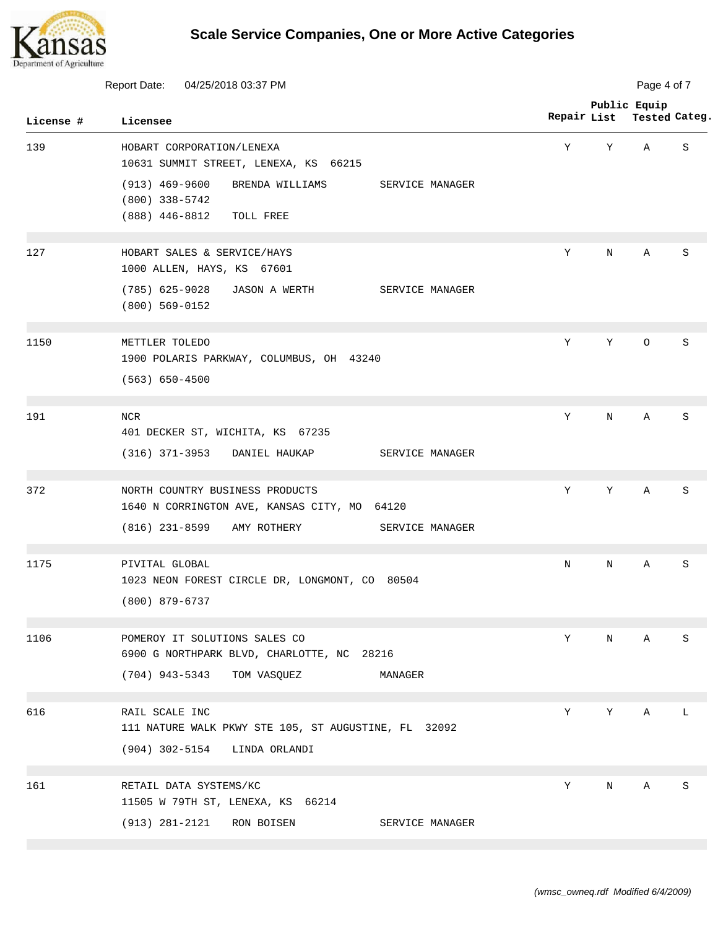

| Report Date:<br>04/25/2018 03:37 PM |                                                                                                                           | Page 4 of 7 |             |              |               |  |
|-------------------------------------|---------------------------------------------------------------------------------------------------------------------------|-------------|-------------|--------------|---------------|--|
| License #                           | Licensee                                                                                                                  | Repair List |             | Public Equip | Tested Categ. |  |
| 139                                 | HOBART CORPORATION/LENEXA<br>10631 SUMMIT STREET, LENEXA, KS 66215                                                        | Υ           | Υ           | Α            | S             |  |
|                                     | $(913)$ 469-9600<br>BRENDA WILLIAMS<br>SERVICE MANAGER<br>$(800)$ 338-5742<br>(888) 446-8812<br>TOLL FREE                 |             |             |              |               |  |
| 127                                 | HOBART SALES & SERVICE/HAYS<br>1000 ALLEN, HAYS, KS 67601                                                                 | Y           | N           | Α            | S             |  |
|                                     | $(785)$ 625-9028<br>JASON A WERTH<br>SERVICE MANAGER<br>$(800)$ 569-0152                                                  |             |             |              |               |  |
| 1150                                | METTLER TOLEDO<br>1900 POLARIS PARKWAY, COLUMBUS, OH 43240<br>$(563) 650 - 4500$                                          | Y           | Y           | $\circ$      | S             |  |
| 191                                 | <b>NCR</b><br>401 DECKER ST, WICHITA, KS 67235<br>$(316)$ 371-3953<br>DANIEL HAUKAP<br>SERVICE MANAGER                    | Y           | $\mathbf N$ | Α            | S             |  |
| 372                                 | NORTH COUNTRY BUSINESS PRODUCTS<br>1640 N CORRINGTON AVE, KANSAS CITY, MO<br>64120<br>$(816)$ 231-8599<br>SERVICE MANAGER | Y           | Υ           | Α            | S             |  |
|                                     | AMY ROTHERY                                                                                                               |             |             |              |               |  |
| 1175                                | PIVITAL GLOBAL<br>1023 NEON FOREST CIRCLE DR, LONGMONT, CO 80504<br>(800) 879-6737                                        | N           | N           | Α            | S             |  |
| 1106                                | POMEROY IT SOLUTIONS SALES CO<br>6900 G NORTHPARK BLVD, CHARLOTTE, NC 28216<br>(704) 943-5343<br>TOM VASQUEZ<br>MANAGER   | Υ           | N           | Α            | S             |  |
| 616                                 | RAIL SCALE INC<br>111 NATURE WALK PKWY STE 105, ST AUGUSTINE, FL 32092<br>$(904)$ 302-5154<br>LINDA ORLANDI               | Y           | Υ           | Α            | L             |  |
| 161                                 | RETAIL DATA SYSTEMS/KC<br>11505 W 79TH ST, LENEXA, KS 66214                                                               | Υ           | N           | Α            | S             |  |
|                                     | $(913) 281 - 2121$<br>RON BOISEN<br>SERVICE MANAGER                                                                       |             |             |              |               |  |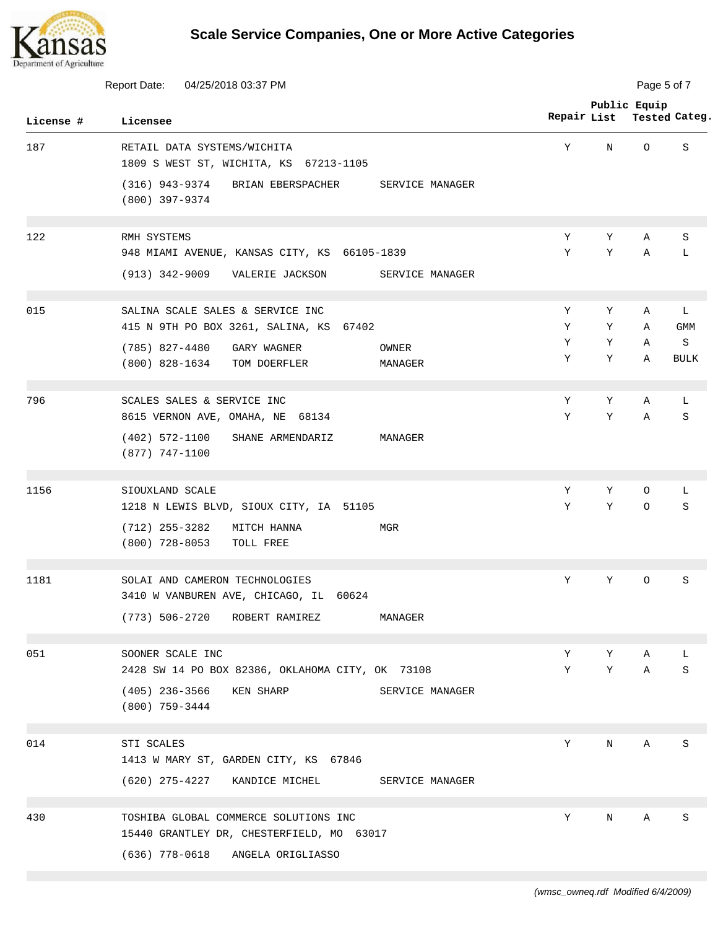

| <b>Report Date:</b><br>04/25/2018 03:37 PM |                                                                                    | Page 5 of 7      |             |        |              |                  |
|--------------------------------------------|------------------------------------------------------------------------------------|------------------|-------------|--------|--------------|------------------|
| License #                                  | Licensee                                                                           |                  | Repair List |        | Public Equip | Tested Categ.    |
| 187                                        | RETAIL DATA SYSTEMS/WICHITA<br>1809 S WEST ST, WICHITA, KS 67213-1105              |                  | Y           | N      | O            | S                |
|                                            | (316) 943-9374<br>BRIAN EBERSPACHER<br>(800) 397-9374                              | SERVICE MANAGER  |             |        |              |                  |
| 122                                        | RMH SYSTEMS<br>948 MIAMI AVENUE, KANSAS CITY, KS 66105-1839                        |                  | Υ<br>Y      | Υ<br>Y | Α<br>Α       | S<br>L           |
|                                            | (913) 342-9009<br>VALERIE JACKSON                                                  | SERVICE MANAGER  |             |        |              |                  |
| 015                                        | SALINA SCALE SALES & SERVICE INC<br>415 N 9TH PO BOX 3261, SALINA, KS 67402        |                  | Υ<br>Υ      | Υ<br>Υ | Α<br>Α       | L<br><b>GMM</b>  |
|                                            | $(785)$ 827-4480<br>GARY WAGNER<br>$(800)$ 828-1634<br>TOM DOERFLER                | OWNER<br>MANAGER | Υ<br>Υ      | Υ<br>Y | Α<br>Α       | S<br><b>BULK</b> |
| 796                                        | SCALES SALES & SERVICE INC<br>8615 VERNON AVE, OMAHA, NE 68134                     |                  | Υ<br>Υ      | Y<br>Υ | Α<br>Α       | L<br>S           |
|                                            | $(402)$ 572-1100<br>SHANE ARMENDARIZ<br>$(877)$ 747-1100                           | MANAGER          |             |        |              |                  |
| 1156                                       | SIOUXLAND SCALE<br>1218 N LEWIS BLVD, SIOUX CITY, IA 51105                         |                  | Υ<br>Y      | Υ<br>Y | 0<br>$\circ$ | L<br>S           |
|                                            | $(712)$ 255-3282<br>MITCH HANNA<br>$(800)$ 728-8053<br>TOLL FREE                   | MGR              |             |        |              |                  |
| 1181                                       | SOLAI AND CAMERON TECHNOLOGIES<br>3410 W VANBUREN AVE, CHICAGO, IL 60624           |                  | Y           | Υ      | O            | S                |
|                                            | (773) 506-2720<br>ROBERT RAMIREZ                                                   | MANAGER          |             |        |              |                  |
| 051                                        | SOONER SCALE INC<br>2428 SW 14 PO BOX 82386, OKLAHOMA CITY, OK 73108               |                  | Υ<br>Υ      | Υ<br>Υ | Α<br>Α       | L<br>S           |
|                                            | (405) 236-3566<br>KEN SHARP<br>$(800)$ 759-3444                                    | SERVICE MANAGER  |             |        |              |                  |
| 014                                        | STI SCALES<br>1413 W MARY ST, GARDEN CITY, KS 67846                                |                  | Υ           | Ν      | Α            | S                |
|                                            | (620) 275-4227<br>KANDICE MICHEL                                                   | SERVICE MANAGER  |             |        |              |                  |
| 430                                        | TOSHIBA GLOBAL COMMERCE SOLUTIONS INC<br>15440 GRANTLEY DR, CHESTERFIELD, MO 63017 |                  | Υ           | N      | Α            | $\rm S$          |
|                                            | (636) 778-0618<br>ANGELA ORIGLIASSO                                                |                  |             |        |              |                  |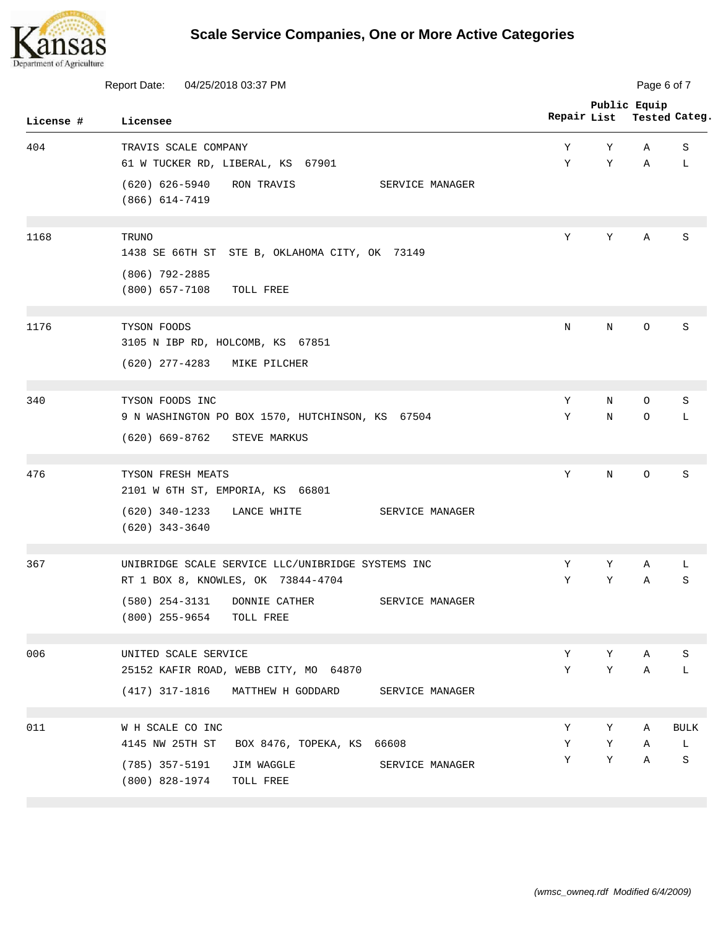

|           | Report Date:<br>04/25/2018 03:37 PM                                            |             |        | Page 6 of 7  |                            |  |  |
|-----------|--------------------------------------------------------------------------------|-------------|--------|--------------|----------------------------|--|--|
| License # | Licensee                                                                       | Repair List |        | Public Equip | Tested Categ.              |  |  |
| 404       | TRAVIS SCALE COMPANY                                                           | Υ           | Υ      | Α            | S                          |  |  |
|           | 61 W TUCKER RD, LIBERAL, KS 67901                                              | Υ           | Υ      | Α            | L                          |  |  |
|           | $(620)$ 626-5940<br>RON TRAVIS<br>SERVICE MANAGER<br>$(866)$ 614-7419          |             |        |              |                            |  |  |
| 1168      | TRUNO                                                                          | Υ           | Υ      | Α            | S                          |  |  |
|           | 1438 SE 66TH ST STE B, OKLAHOMA CITY, OK 73149                                 |             |        |              |                            |  |  |
|           | $(806)$ 792-2885                                                               |             |        |              |                            |  |  |
|           | $(800)$ 657-7108<br>TOLL FREE                                                  |             |        |              |                            |  |  |
| 1176      | TYSON FOODS                                                                    | N           | N      | $\circ$      | S                          |  |  |
|           | 3105 N IBP RD, HOLCOMB, KS 67851                                               |             |        |              |                            |  |  |
|           | $(620)$ 277-4283<br>MIKE PILCHER                                               |             |        |              |                            |  |  |
| 340       | TYSON FOODS INC                                                                | Υ           | N      | 0            | S                          |  |  |
|           | 9 N WASHINGTON PO BOX 1570, HUTCHINSON, KS 67504                               | Υ           | N      | O            | L                          |  |  |
|           | $(620)$ 669-8762<br>STEVE MARKUS                                               |             |        |              |                            |  |  |
| 476       | TYSON FRESH MEATS                                                              | Y           | N      | O            | S                          |  |  |
|           | 2101 W 6TH ST, EMPORIA, KS 66801                                               |             |        |              |                            |  |  |
|           | $(620)$ 340-1233<br>LANCE WHITE<br>SERVICE MANAGER<br>$(620)$ 343-3640         |             |        |              |                            |  |  |
| 367       | UNIBRIDGE SCALE SERVICE LLC/UNIBRIDGE SYSTEMS INC                              | Υ           | Υ      | Α            | L                          |  |  |
|           | RT 1 BOX 8, KNOWLES, OK 73844-4704                                             | Υ           | Υ      | Α            | S                          |  |  |
|           | (580) 254-3131 DONNIE CATHER<br>SERVICE MANAGER<br>(800) 255-9654<br>TOLL FREE |             |        |              |                            |  |  |
| 006       | UNITED SCALE SERVICE                                                           | Υ           | Υ      | Α            | S                          |  |  |
|           | 25152 KAFIR ROAD, WEBB CITY, MO 64870                                          | Υ           | Υ      | Α            | L                          |  |  |
|           | (417) 317-1816 MATTHEW H GODDARD<br>SERVICE MANAGER                            |             |        |              |                            |  |  |
|           | W H SCALE CO INC                                                               |             |        |              |                            |  |  |
| 011       | 4145 NW 25TH ST<br>BOX 8476, TOPEKA, KS 66608                                  | Υ<br>Υ      | Υ<br>Υ | Α<br>Α       | $\operatorname{BULK}$<br>L |  |  |
|           | (785) 357-5191<br>JIM WAGGLE<br>SERVICE MANAGER                                | Υ           | Υ      | Α            | S                          |  |  |
|           | (800) 828-1974<br>TOLL FREE                                                    |             |        |              |                            |  |  |